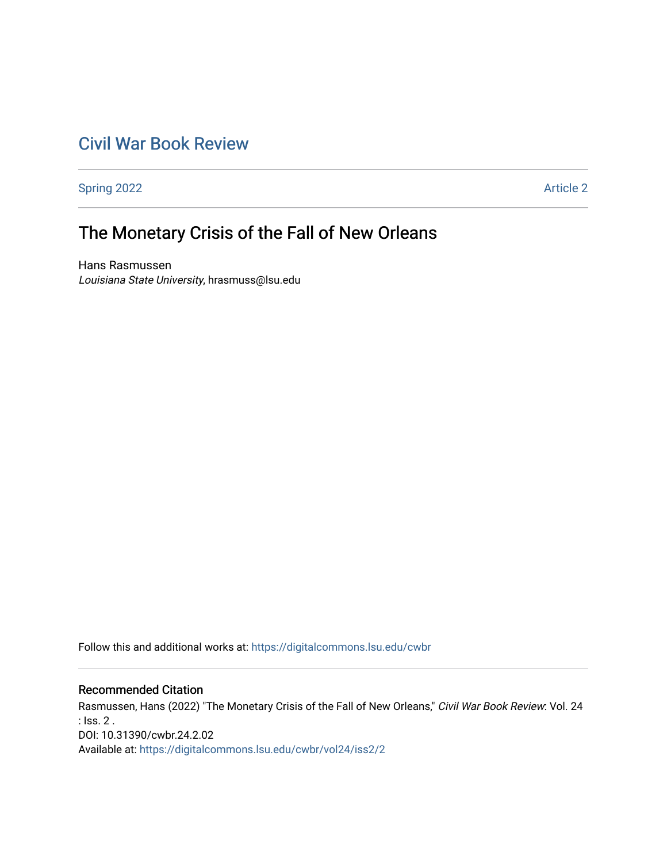## [Civil War Book Review](https://digitalcommons.lsu.edu/cwbr)

[Spring 2022](https://digitalcommons.lsu.edu/cwbr/vol24/iss2) **Article 2** 

# The Monetary Crisis of the Fall of New Orleans

Hans Rasmussen Louisiana State University, hrasmuss@lsu.edu

Follow this and additional works at: [https://digitalcommons.lsu.edu/cwbr](https://digitalcommons.lsu.edu/cwbr?utm_source=digitalcommons.lsu.edu%2Fcwbr%2Fvol24%2Fiss2%2F2&utm_medium=PDF&utm_campaign=PDFCoverPages) 

#### Recommended Citation

Rasmussen, Hans (2022) "The Monetary Crisis of the Fall of New Orleans," Civil War Book Review: Vol. 24 : Iss. 2 . DOI: 10.31390/cwbr.24.2.02 Available at: [https://digitalcommons.lsu.edu/cwbr/vol24/iss2/2](https://digitalcommons.lsu.edu/cwbr/vol24/iss2/2?utm_source=digitalcommons.lsu.edu%2Fcwbr%2Fvol24%2Fiss2%2F2&utm_medium=PDF&utm_campaign=PDFCoverPages)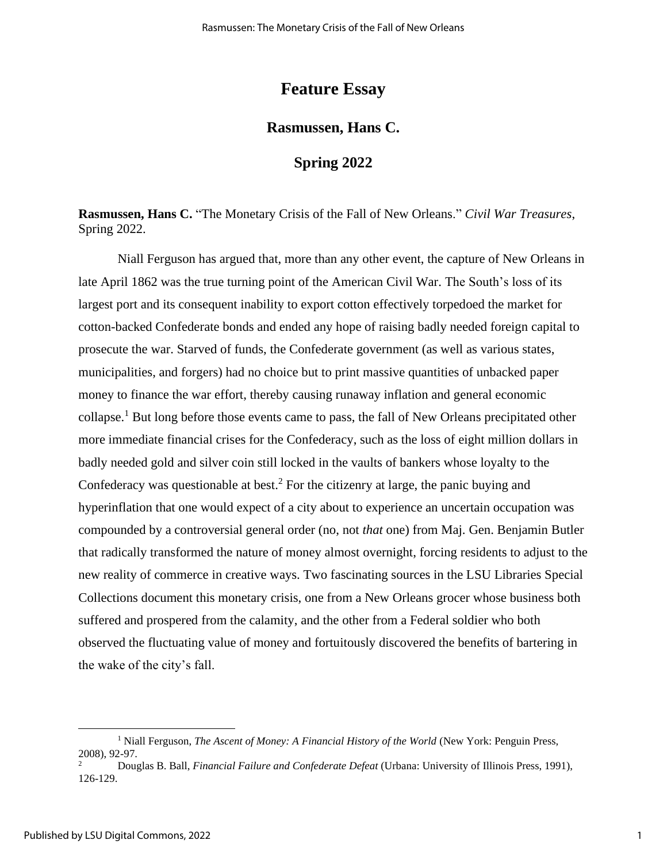### **Feature Essay**

#### **Rasmussen, Hans C.**

#### **Spring 2022**

**Rasmussen, Hans C.** "The Monetary Crisis of the Fall of New Orleans." *Civil War Treasures*, Spring 2022.

Niall Ferguson has argued that, more than any other event, the capture of New Orleans in late April 1862 was the true turning point of the American Civil War. The South's loss of its largest port and its consequent inability to export cotton effectively torpedoed the market for cotton-backed Confederate bonds and ended any hope of raising badly needed foreign capital to prosecute the war. Starved of funds, the Confederate government (as well as various states, municipalities, and forgers) had no choice but to print massive quantities of unbacked paper money to finance the war effort, thereby causing runaway inflation and general economic collapse.<sup>1</sup> But long before those events came to pass, the fall of New Orleans precipitated other more immediate financial crises for the Confederacy, such as the loss of eight million dollars in badly needed gold and silver coin still locked in the vaults of bankers whose loyalty to the Confederacy was questionable at best. <sup>2</sup> For the citizenry at large, the panic buying and hyperinflation that one would expect of a city about to experience an uncertain occupation was compounded by a controversial general order (no, not *that* one) from Maj. Gen. Benjamin Butler that radically transformed the nature of money almost overnight, forcing residents to adjust to the new reality of commerce in creative ways. Two fascinating sources in the LSU Libraries Special Collections document this monetary crisis, one from a New Orleans grocer whose business both suffered and prospered from the calamity, and the other from a Federal soldier who both observed the fluctuating value of money and fortuitously discovered the benefits of bartering in the wake of the city's fall.

<sup>&</sup>lt;sup>1</sup> Niall Ferguson, *The Ascent of Money: A Financial History of the World* (New York: Penguin Press,  $2008$ , 92-97.

<sup>2</sup> Douglas B. Ball, *Financial Failure and Confederate Defeat* (Urbana: University of Illinois Press, 1991), 126-129.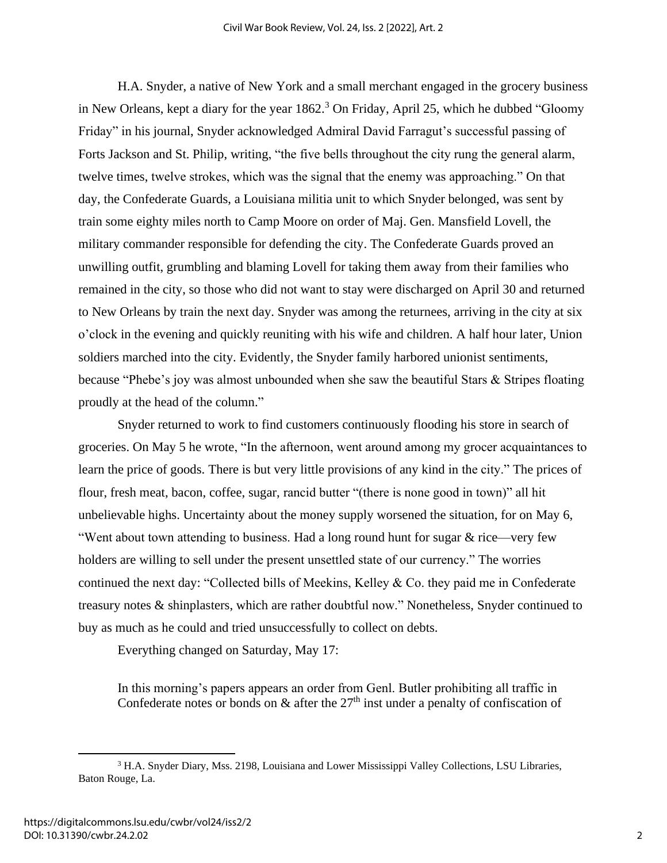H.A. Snyder, a native of New York and a small merchant engaged in the grocery business in New Orleans, kept a diary for the year 1862. <sup>3</sup> On Friday, April 25, which he dubbed "Gloomy Friday" in his journal, Snyder acknowledged Admiral David Farragut's successful passing of Forts Jackson and St. Philip, writing, "the five bells throughout the city rung the general alarm, twelve times, twelve strokes, which was the signal that the enemy was approaching." On that day, the Confederate Guards, a Louisiana militia unit to which Snyder belonged, was sent by train some eighty miles north to Camp Moore on order of Maj. Gen. Mansfield Lovell, the military commander responsible for defending the city. The Confederate Guards proved an unwilling outfit, grumbling and blaming Lovell for taking them away from their families who remained in the city, so those who did not want to stay were discharged on April 30 and returned to New Orleans by train the next day. Snyder was among the returnees, arriving in the city at six o'clock in the evening and quickly reuniting with his wife and children. A half hour later, Union soldiers marched into the city. Evidently, the Snyder family harbored unionist sentiments, because "Phebe's joy was almost unbounded when she saw the beautiful Stars & Stripes floating proudly at the head of the column."

Snyder returned to work to find customers continuously flooding his store in search of groceries. On May 5 he wrote, "In the afternoon, went around among my grocer acquaintances to learn the price of goods. There is but very little provisions of any kind in the city." The prices of flour, fresh meat, bacon, coffee, sugar, rancid butter "(there is none good in town)" all hit unbelievable highs. Uncertainty about the money supply worsened the situation, for on May 6, "Went about town attending to business. Had a long round hunt for sugar  $&$  rice—very few holders are willing to sell under the present unsettled state of our currency." The worries continued the next day: "Collected bills of Meekins, Kelley & Co. they paid me in Confederate treasury notes & shinplasters, which are rather doubtful now." Nonetheless, Snyder continued to buy as much as he could and tried unsuccessfully to collect on debts.

Everything changed on Saturday, May 17:

In this morning's papers appears an order from Genl. Butler prohibiting all traffic in Confederate notes or bonds on  $\&$  after the 27<sup>th</sup> inst under a penalty of confiscation of

<sup>3</sup> H.A. Snyder Diary, Mss. 2198, Louisiana and Lower Mississippi Valley Collections, LSU Libraries, Baton Rouge, La.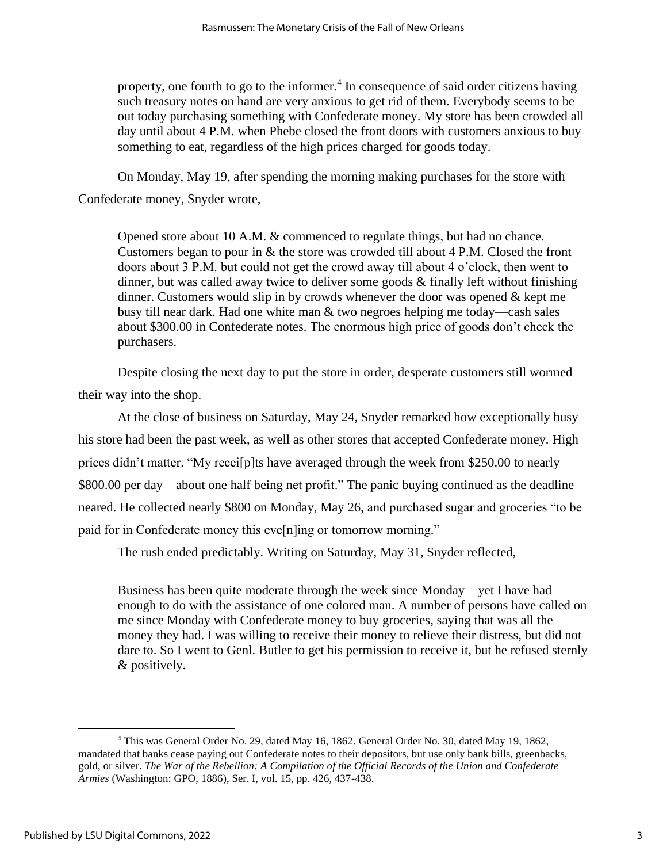property, one fourth to go to the informer.<sup>4</sup> In consequence of said order citizens having such treasury notes on hand are very anxious to get rid of them. Everybody seems to be out today purchasing something with Confederate money. My store has been crowded all day until about 4 P.M. when Phebe closed the front doors with customers anxious to buy something to eat, regardless of the high prices charged for goods today.

On Monday, May 19, after spending the morning making purchases for the store with Confederate money, Snyder wrote,

Opened store about 10 A.M. & commenced to regulate things, but had no chance. Customers began to pour in & the store was crowded till about 4 P.M. Closed the front doors about 3 P.M. but could not get the crowd away till about 4 o'clock, then went to dinner, but was called away twice to deliver some goods  $\&$  finally left without finishing dinner. Customers would slip in by crowds whenever the door was opened  $\&$  kept me busy till near dark. Had one white man & two negroes helping me today—cash sales about \$300.00 in Confederate notes. The enormous high price of goods don't check the purchasers.

Despite closing the next day to put the store in order, desperate customers still wormed their way into the shop.

At the close of business on Saturday, May 24, Snyder remarked how exceptionally busy his store had been the past week, as well as other stores that accepted Confederate money. High prices didn't matter. "My recei[p]ts have averaged through the week from \$250.00 to nearly \$800.00 per day—about one half being net profit." The panic buying continued as the deadline neared. He collected nearly \$800 on Monday, May 26, and purchased sugar and groceries "to be paid for in Confederate money this eve[n]ing or tomorrow morning."

The rush ended predictably. Writing on Saturday, May 31, Snyder reflected,

Business has been quite moderate through the week since Monday—yet I have had enough to do with the assistance of one colored man. A number of persons have called on me since Monday with Confederate money to buy groceries, saying that was all the money they had. I was willing to receive their money to relieve their distress, but did not dare to. So I went to Genl. Butler to get his permission to receive it, but he refused sternly & positively.

<sup>4</sup> This was General Order No. 29, dated May 16, 1862. General Order No. 30, dated May 19, 1862, mandated that banks cease paying out Confederate notes to their depositors, but use only bank bills, greenbacks, gold, or silver. *The War of the Rebellion: A Compilation of the Official Records of the Union and Confederate Armies* (Washington: GPO, 1886), Ser. I, vol. 15, pp. 426, 437-438.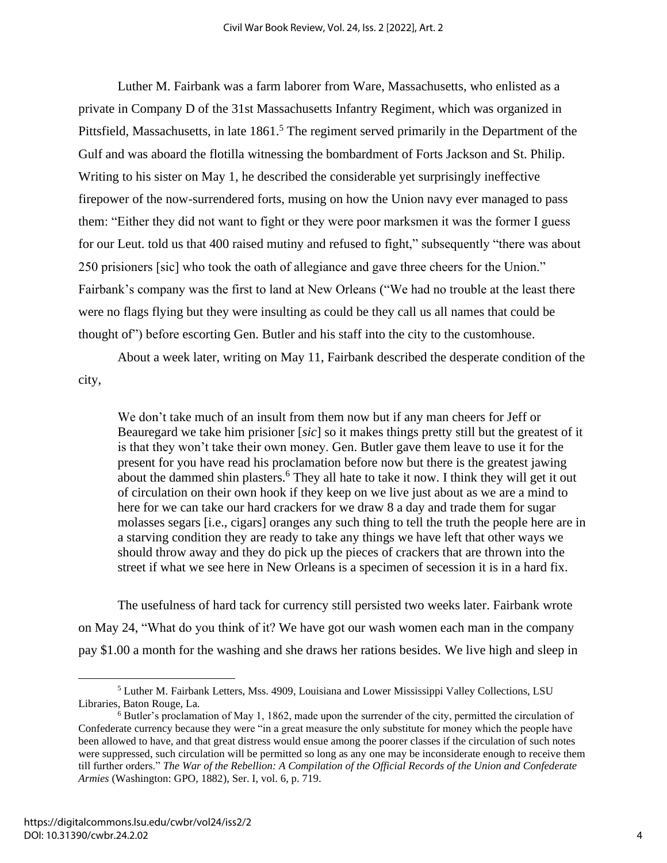Luther M. Fairbank was a farm laborer from Ware, Massachusetts, who enlisted as a private in Company D of the 31st Massachusetts Infantry Regiment, which was organized in Pittsfield, Massachusetts, in late 1861.<sup>5</sup> The regiment served primarily in the Department of the Gulf and was aboard the flotilla witnessing the bombardment of Forts Jackson and St. Philip. Writing to his sister on May 1, he described the considerable yet surprisingly ineffective firepower of the now-surrendered forts, musing on how the Union navy ever managed to pass them: "Either they did not want to fight or they were poor marksmen it was the former I guess for our Leut. told us that 400 raised mutiny and refused to fight," subsequently "there was about 250 prisioners [sic] who took the oath of allegiance and gave three cheers for the Union." Fairbank's company was the first to land at New Orleans ("We had no trouble at the least there were no flags flying but they were insulting as could be they call us all names that could be thought of") before escorting Gen. Butler and his staff into the city to the customhouse.

About a week later, writing on May 11, Fairbank described the desperate condition of the city,

We don't take much of an insult from them now but if any man cheers for Jeff or Beauregard we take him prisioner [*sic*] so it makes things pretty still but the greatest of it is that they won't take their own money. Gen. Butler gave them leave to use it for the present for you have read his proclamation before now but there is the greatest jawing about the dammed shin plasters.<sup>6</sup> They all hate to take it now. I think they will get it out of circulation on their own hook if they keep on we live just about as we are a mind to here for we can take our hard crackers for we draw 8 a day and trade them for sugar molasses segars [i.e., cigars] oranges any such thing to tell the truth the people here are in a starving condition they are ready to take any things we have left that other ways we should throw away and they do pick up the pieces of crackers that are thrown into the street if what we see here in New Orleans is a specimen of secession it is in a hard fix.

The usefulness of hard tack for currency still persisted two weeks later. Fairbank wrote on May 24, "What do you think of it? We have got our wash women each man in the company pay \$1.00 a month for the washing and she draws her rations besides. We live high and sleep in

<sup>5</sup> Luther M. Fairbank Letters, Mss. 4909, Louisiana and Lower Mississippi Valley Collections, LSU Libraries, Baton Rouge, La.

<sup>6</sup> Butler's proclamation of May 1, 1862, made upon the surrender of the city, permitted the circulation of Confederate currency because they were "in a great measure the only substitute for money which the people have been allowed to have, and that great distress would ensue among the poorer classes if the circulation of such notes were suppressed, such circulation will be permitted so long as any one may be inconsiderate enough to receive them till further orders." *The War of the Rebellion: A Compilation of the Official Records of the Union and Confederate Armies* (Washington: GPO, 1882), Ser. I, vol. 6, p. 719.